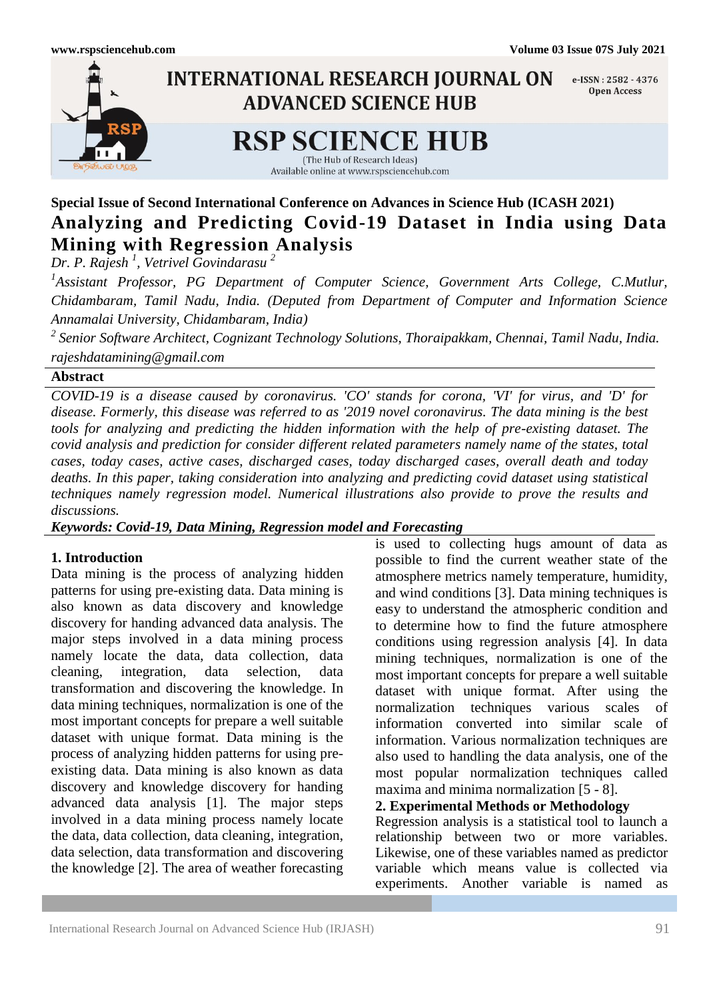

# **Special Issue of Second International Conference on Advances in Science Hub (ICASH 2021) Analyzing and Predicting Covid-19 Dataset in India using Data Mining with Regression Analysis**

*Dr. P. Rajesh <sup>1</sup> , Vetrivel Govindarasu <sup>2</sup>*

<sup>1</sup> Assistant Professor, PG Department of Computer Science, Government Arts College, C.Mutlur, *Chidambaram, Tamil Nadu, India. (Deputed from Department of Computer and Information Science Annamalai University, Chidambaram, India)* 

*2 Senior Software Architect, Cognizant Technology Solutions, Thoraipakkam, Chennai, Tamil Nadu, India. rajeshdatamining@gmail.com*

## **Abstract**

*COVID-19 is a disease caused by coronavirus. 'CO' stands for corona, 'VI' for virus, and 'D' for disease. Formerly, this disease was referred to as '2019 novel coronavirus. The data mining is the best tools for analyzing and predicting the hidden information with the help of pre-existing dataset. The covid analysis and prediction for consider different related parameters namely name of the states, total cases, today cases, active cases, discharged cases, today discharged cases, overall death and today deaths. In this paper, taking consideration into analyzing and predicting covid dataset using statistical techniques namely regression model. Numerical illustrations also provide to prove the results and discussions.*

*Keywords: Covid-19, Data Mining, Regression model and Forecasting*

# **1. Introduction**

Data mining is the process of analyzing hidden patterns for using pre-existing data. Data mining is also known as data discovery and knowledge discovery for handing advanced data analysis. The major steps involved in a data mining process namely locate the data, data collection, data cleaning, integration, data selection, data transformation and discovering the knowledge. In data mining techniques, normalization is one of the most important concepts for prepare a well suitable dataset with unique format. Data mining is the process of analyzing hidden patterns for using preexisting data. Data mining is also known as data discovery and knowledge discovery for handing advanced data analysis [1]. The major steps involved in a data mining process namely locate the data, data collection, data cleaning, integration, data selection, data transformation and discovering the knowledge [2]. The area of weather forecasting

is used to collecting hugs amount of data as possible to find the current weather state of the atmosphere metrics namely temperature, humidity, and wind conditions [3]. Data mining techniques is easy to understand the atmospheric condition and to determine how to find the future atmosphere conditions using regression analysis [4]. In data mining techniques, normalization is one of the most important concepts for prepare a well suitable dataset with unique format. After using the normalization techniques various scales of information converted into similar scale of information. Various normalization techniques are also used to handling the data analysis, one of the most popular normalization techniques called maxima and minima normalization [5 - 8].

**2. Experimental Methods or Methodology**

Regression analysis is a statistical tool to launch a relationship between two or more variables. Likewise, one of these variables named as predictor variable which means value is collected via experiments. Another variable is named as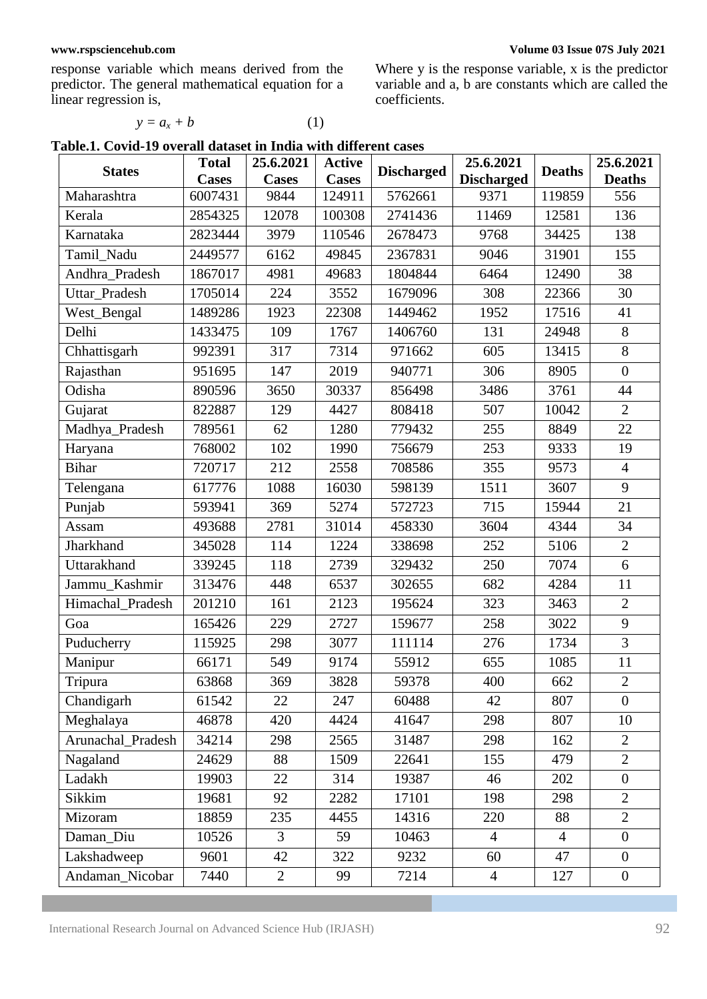response variable which means derived from the predictor. The general mathematical equation for a linear regression is,

Where y is the response variable, x is the predictor variable and a, b are constants which are called the coefficients.

| Table.1. Covid-19 overall dataset in India with different cases |  |  |
|-----------------------------------------------------------------|--|--|
|-----------------------------------------------------------------|--|--|

 $y = a_x + b$  (1)

| <b>States</b>     | <b>Total</b> | 25.6.2021      | <b>Active</b> | <b>Discharged</b> | 25.6.2021         | <b>Deaths</b>  | 25.6.2021        |
|-------------------|--------------|----------------|---------------|-------------------|-------------------|----------------|------------------|
|                   | <b>Cases</b> | <b>Cases</b>   | <b>Cases</b>  |                   | <b>Discharged</b> |                | <b>Deaths</b>    |
| Maharashtra       | 6007431      | 9844           | 124911        | 5762661           | 9371              | 119859         | 556              |
| Kerala            | 2854325      | 12078          | 100308        | 2741436           | 11469             | 12581          | 136              |
| Karnataka         | 2823444      | 3979           | 110546        | 2678473           | 9768              | 34425          | 138              |
| Tamil Nadu        | 2449577      | 6162           | 49845         | 2367831           | 9046              | 31901          | 155              |
| Andhra_Pradesh    | 1867017      | 4981           | 49683         | 1804844           | 6464              | 12490          | 38               |
| Uttar_Pradesh     | 1705014      | 224            | 3552          | 1679096           | 308               | 22366          | 30               |
| West_Bengal       | 1489286      | 1923           | 22308         | 1449462           | 1952              | 17516          | 41               |
| Delhi             | 1433475      | 109            | 1767          | 1406760           | 131               | 24948          | 8                |
| Chhattisgarh      | 992391       | 317            | 7314          | 971662            | 605               | 13415          | 8                |
| Rajasthan         | 951695       | 147            | 2019          | 940771            | 306               | 8905           | $\overline{0}$   |
| Odisha            | 890596       | 3650           | 30337         | 856498            | 3486              | 3761           | 44               |
| Gujarat           | 822887       | 129            | 4427          | 808418            | 507               | 10042          | $\overline{2}$   |
| Madhya_Pradesh    | 789561       | 62             | 1280          | 779432            | 255               | 8849           | 22               |
| Haryana           | 768002       | 102            | 1990          | 756679            | 253               | 9333           | 19               |
| <b>Bihar</b>      | 720717       | 212            | 2558          | 708586            | 355               | 9573           | $\overline{4}$   |
| Telengana         | 617776       | 1088           | 16030         | 598139            | 1511              | 3607           | 9                |
| Punjab            | 593941       | 369            | 5274          | 572723            | 715               | 15944          | 21               |
| Assam             | 493688       | 2781           | 31014         | 458330            | 3604              | 4344           | 34               |
| Jharkhand         | 345028       | 114            | 1224          | 338698            | 252               | 5106           | $\overline{2}$   |
| Uttarakhand       | 339245       | 118            | 2739          | 329432            | 250               | 7074           | 6                |
| Jammu_Kashmir     | 313476       | 448            | 6537          | 302655            | 682               | 4284           | 11               |
| Himachal_Pradesh  | 201210       | 161            | 2123          | 195624            | 323               | 3463           | $\mathbf{2}$     |
| Goa               | 165426       | 229            | 2727          | 159677            | 258               | 3022           | 9                |
| Puducherry        | 115925       | 298            | 3077          | 111114            | 276               | 1734           | $\overline{3}$   |
| Manipur           | 66171        | 549            | 9174          | 55912             | 655               | 1085           | 11               |
| Tripura           | 63868        | 369            | 3828          | 59378             | 400               | 662            | $\overline{2}$   |
| Chandigarh        | 61542        | 22             | 247           | 60488             | 42                | 807            | $\theta$         |
| Meghalaya         | 46878        | 420            | 4424          | 41647             | 298               | 807            | 10               |
| Arunachal_Pradesh | 34214        | 298            | 2565          | 31487             | 298               | 162            | $\overline{2}$   |
| Nagaland          | 24629        | 88             | 1509          | 22641             | 155               | 479            | $\overline{2}$   |
| Ladakh            | 19903        | 22             | 314           | 19387             | 46                | 202            | $\boldsymbol{0}$ |
| Sikkim            | 19681        | 92             | 2282          | 17101             | 198               | 298            | $\mathbf{2}$     |
| Mizoram           | 18859        | 235            | 4455          | 14316             | 220               | 88             | $\overline{2}$   |
| Daman Diu         | 10526        | $\mathfrak{Z}$ | 59            | 10463             | $\overline{4}$    | $\overline{4}$ | $\boldsymbol{0}$ |
| Lakshadweep       | 9601         | 42             | 322           | 9232              | 60                | 47             | $\boldsymbol{0}$ |
| Andaman_Nicobar   | 7440         | $\overline{2}$ | 99            | 7214              | $\overline{4}$    | 127            | $\boldsymbol{0}$ |

### **[www.rspsciencehub.com](http://www.rspsciencehub.com/) Volume 03 Issue 07S July 2021**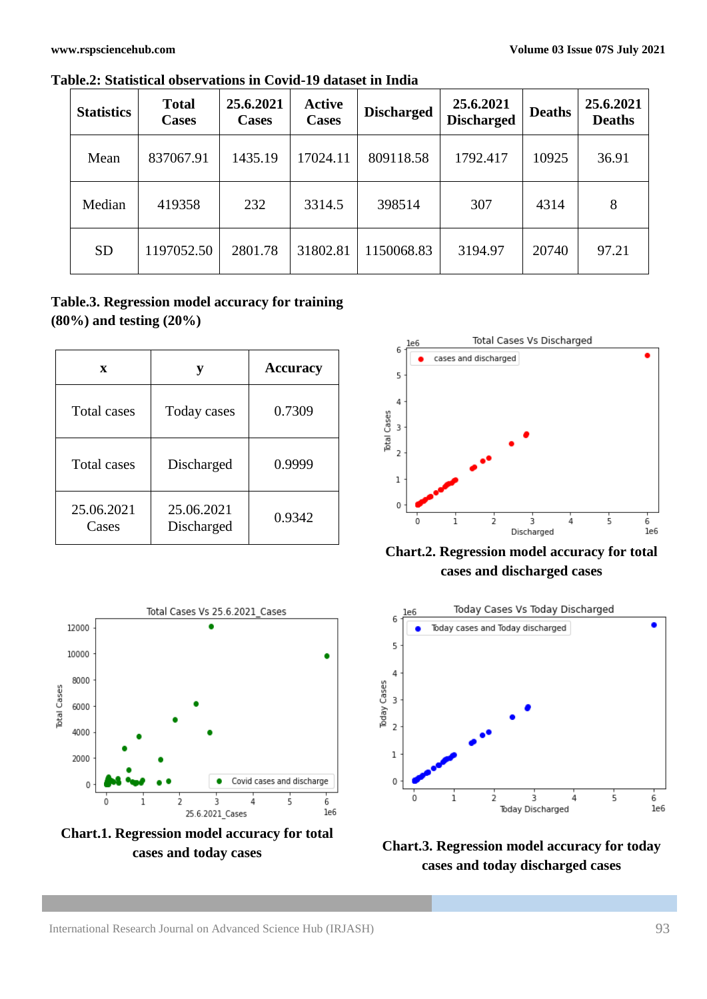| <b>Statistics</b> | <b>Total</b><br><b>Cases</b> | 25.6.2021<br><b>Cases</b> | <b>Active</b><br><b>Cases</b> | <b>Discharged</b> | 25.6.2021<br><b>Discharged</b> | <b>Deaths</b> | 25.6.2021<br><b>Deaths</b> |
|-------------------|------------------------------|---------------------------|-------------------------------|-------------------|--------------------------------|---------------|----------------------------|
| Mean              | 837067.91                    | 1435.19                   | 17024.11                      | 809118.58         | 1792.417                       | 10925         | 36.91                      |
| Median            | 419358                       | 232                       | 3314.5                        | 398514            | 307                            | 4314          | 8                          |
| <b>SD</b>         | 1197052.50                   | 2801.78                   | 31802.81                      | 1150068.83        | 3194.97                        | 20740         | 97.21                      |

**Table.2: Statistical observations in Covid-19 dataset in India**

# **Table.3. Regression model accuracy for training (80%) and testing (20%)**

| X                   | у                        | <b>Accuracy</b> |  |  |
|---------------------|--------------------------|-----------------|--|--|
| <b>Total cases</b>  | Today cases              | 0.7309          |  |  |
| <b>Total cases</b>  | Discharged               | 0.9999          |  |  |
| 25.06.2021<br>Cases | 25.06.2021<br>Discharged | 0.9342          |  |  |



**Chart.1. Regression model accuracy for total cases and today cases**



**Chart.2. Regression model accuracy for total cases and discharged cases** 



**Chart.3. Regression model accuracy for today cases and today discharged cases**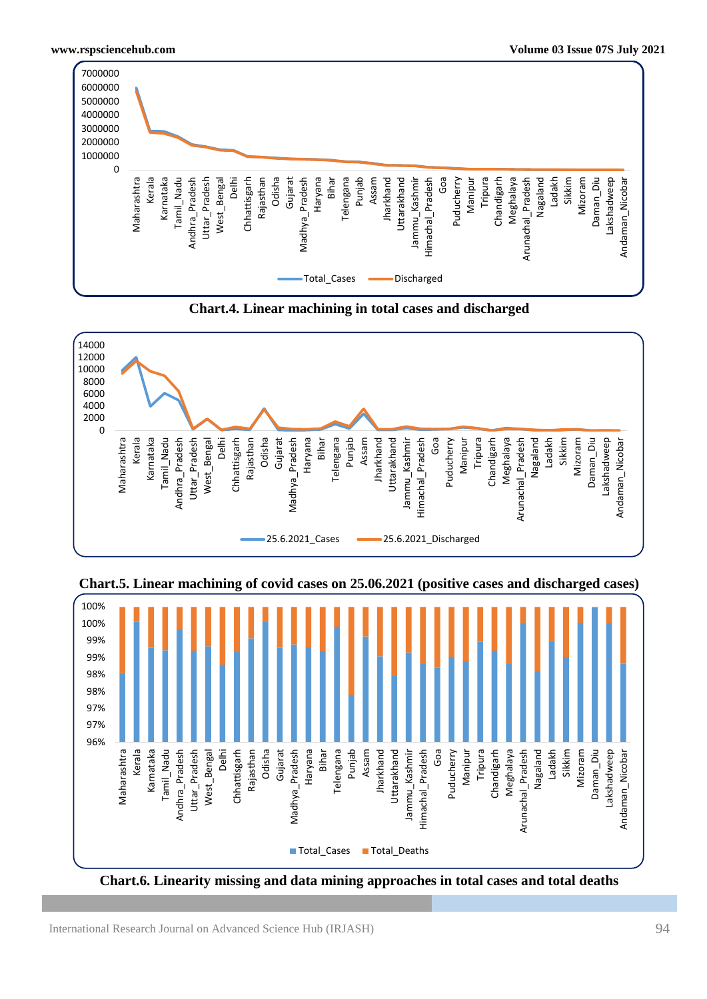

**Chart.4. Linear machining in total cases and discharged**







**Chart.6. Linearity missing and data mining approaches in total cases and total deaths**